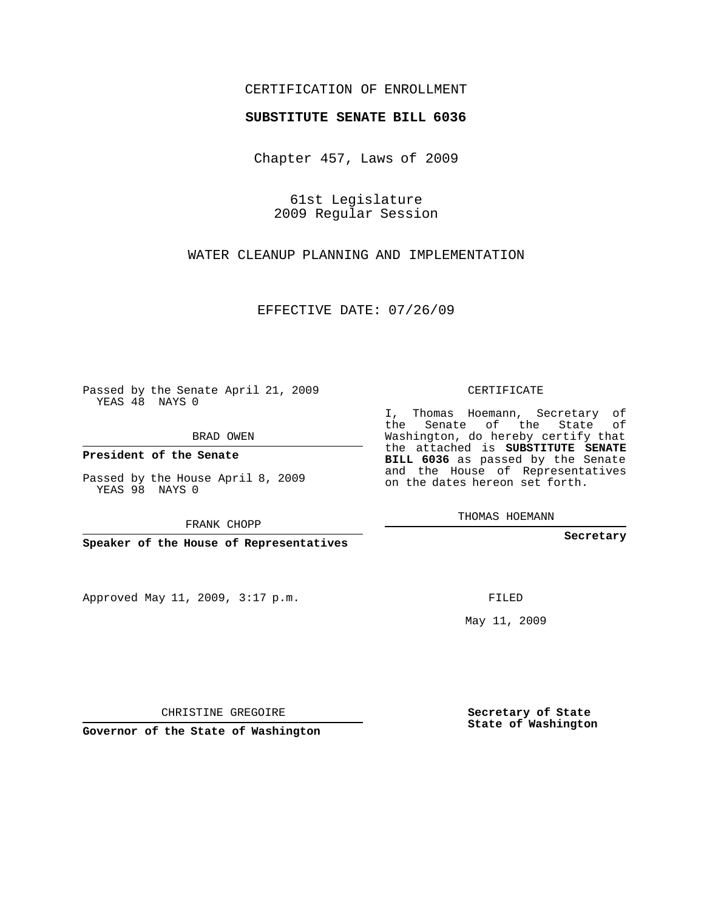## CERTIFICATION OF ENROLLMENT

## **SUBSTITUTE SENATE BILL 6036**

Chapter 457, Laws of 2009

61st Legislature 2009 Regular Session

WATER CLEANUP PLANNING AND IMPLEMENTATION

EFFECTIVE DATE: 07/26/09

Passed by the Senate April 21, 2009 YEAS 48 NAYS 0

BRAD OWEN

**President of the Senate**

Passed by the House April 8, 2009 YEAS 98 NAYS 0

FRANK CHOPP

**Speaker of the House of Representatives**

Approved May 11, 2009, 3:17 p.m.

CERTIFICATE

I, Thomas Hoemann, Secretary of the Senate of the State of Washington, do hereby certify that the attached is **SUBSTITUTE SENATE BILL 6036** as passed by the Senate and the House of Representatives on the dates hereon set forth.

THOMAS HOEMANN

**Secretary**

FILED

May 11, 2009

**Secretary of State State of Washington**

CHRISTINE GREGOIRE

**Governor of the State of Washington**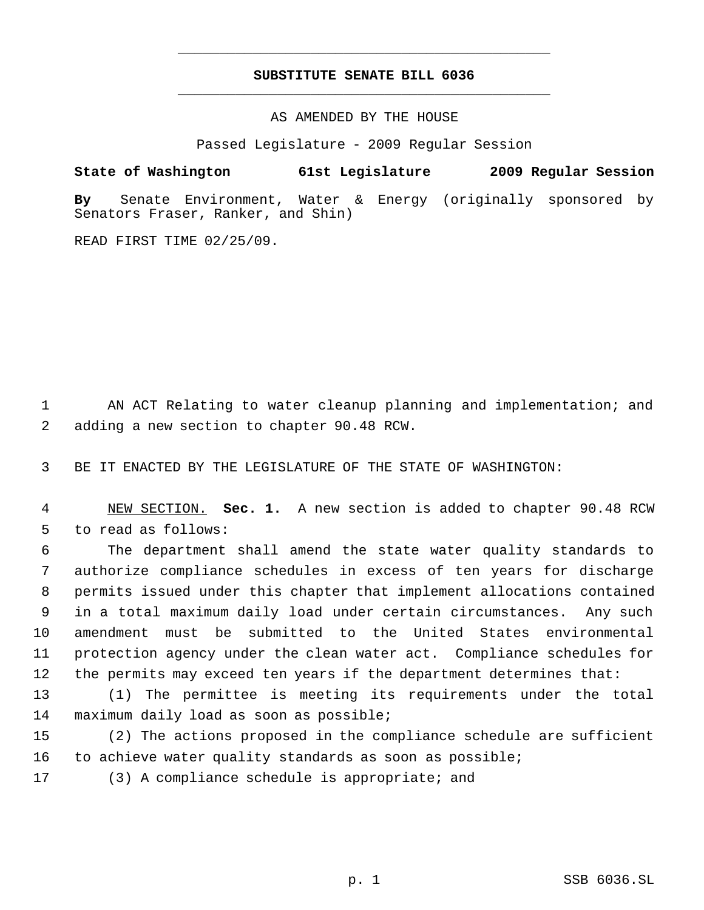## **SUBSTITUTE SENATE BILL 6036** \_\_\_\_\_\_\_\_\_\_\_\_\_\_\_\_\_\_\_\_\_\_\_\_\_\_\_\_\_\_\_\_\_\_\_\_\_\_\_\_\_\_\_\_\_

\_\_\_\_\_\_\_\_\_\_\_\_\_\_\_\_\_\_\_\_\_\_\_\_\_\_\_\_\_\_\_\_\_\_\_\_\_\_\_\_\_\_\_\_\_

AS AMENDED BY THE HOUSE

Passed Legislature - 2009 Regular Session

## **State of Washington 61st Legislature 2009 Regular Session**

**By** Senate Environment, Water & Energy (originally sponsored by Senators Fraser, Ranker, and Shin)

READ FIRST TIME 02/25/09.

1 AN ACT Relating to water cleanup planning and implementation; and 2 adding a new section to chapter 90.48 RCW.

3 BE IT ENACTED BY THE LEGISLATURE OF THE STATE OF WASHINGTON:

 4 NEW SECTION. **Sec. 1.** A new section is added to chapter 90.48 RCW 5 to read as follows:

 The department shall amend the state water quality standards to authorize compliance schedules in excess of ten years for discharge permits issued under this chapter that implement allocations contained in a total maximum daily load under certain circumstances. Any such amendment must be submitted to the United States environmental protection agency under the clean water act. Compliance schedules for the permits may exceed ten years if the department determines that:

13 (1) The permittee is meeting its requirements under the total 14 maximum daily load as soon as possible;

15 (2) The actions proposed in the compliance schedule are sufficient 16 to achieve water quality standards as soon as possible;

17 (3) A compliance schedule is appropriate; and